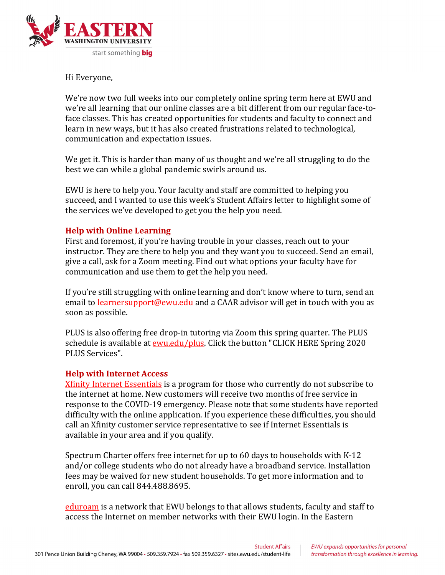

## Hi Everyone,

We're now two full weeks into our completely online spring term here at EWU and we're all learning that our online classes are a bit different from our regular face-toface classes. This has created opportunities for students and faculty to connect and learn in new ways, but it has also created frustrations related to technological, communication and expectation issues.

We get it. This is harder than many of us thought and we're all struggling to do the best we can while a global pandemic swirls around us.

EWU is here to help you. Your faculty and staff are committed to helping you succeed, and I wanted to use this week's Student Affairs letter to highlight some of the services we've developed to get you the help you need.

## **Help with Online Learning**

First and foremost, if you're having trouble in your classes, reach out to your instructor. They are there to help you and they want you to succeed. Send an email, give a call, ask for a Zoom meeting. Find out what options your faculty have for communication and use them to get the help you need.

If you're still struggling with online learning and don't know where to turn, send an email to learnersupport@ewu.edu and a CAAR advisor will get in touch with you as soon as possible.

PLUS is also offering free drop-in tutoring via Zoom this spring quarter. The PLUS schedule is available at **ewu.edu/plus**. Click the button "CLICK HERE Spring 2020 PLUS Services".

## **Help with Internet Access**

Xfinity Internet Essentials is a program for those who currently do not subscribe to the internet at home. New customers will receive two months of free service in response to the COVID-19 emergency. Please note that some students have reported difficulty with the online application. If you experience these difficulties, you should call an Xfinity customer service representative to see if Internet Essentials is available in your area and if you qualify.

Spectrum Charter offers free internet for up to 60 days to households with K-12 and/or college students who do not already have a broadband service. Installation fees may be waived for new student households. To get more information and to enroll, you can call 844.488.8695.

eduroam is a network that EWU belongs to that allows students, faculty and staff to access the Internet on member networks with their EWU login. In the Eastern